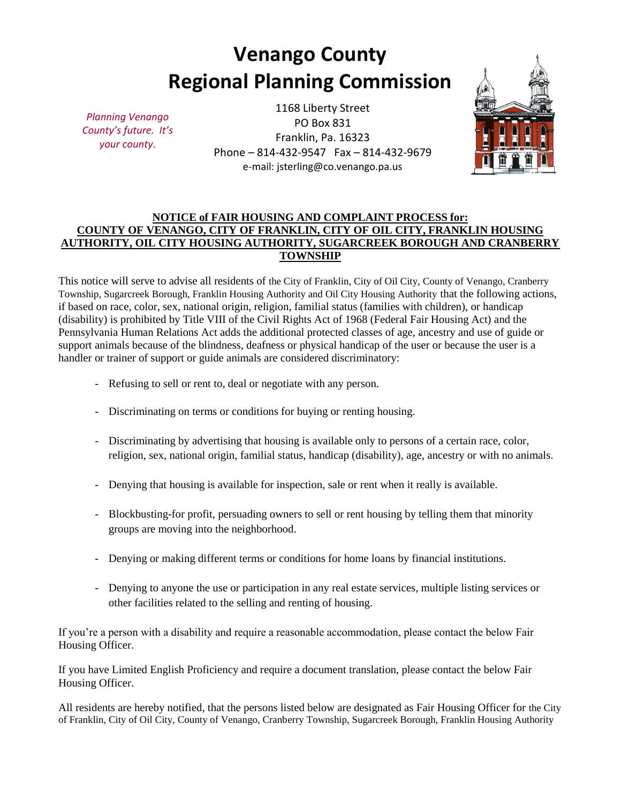# **Venango County Regional Planning Commission**

*Planning Venango County's future. It's your county*.

1168 Liberty Street PO Box 831 Franklin, Pa. 16323 Phone – 814-432-9547 Fax – 814-432-9679 e-mail: jsterling@co.venango.pa.us



# **NOTICE of FAIR HOUSING AND COMPLAINT PROCESS for: COUNTY OF VENANGO, CITY OF FRANKLIN, CITY OF OIL CITY, FRANKLIN HOUSING AUTHORITY, OIL CITY HOUSING AUTHORITY, SUGARCREEK BOROUGH AND CRANBERRY TOWNSHIP**

This notice will serve to advise all residents of the City of Franklin, City of Oil City, County of Venango, Cranberry Township, Sugarcreek Borough, Franklin Housing Authority and Oil City Housing Authority that the following actions, if based on race, color, sex, national origin, religion, familial status (families with children), or handicap (disability) is prohibited by Title VIII of the Civil Rights Act of 1968 (Federal Fair Housing Act) and the Pennsylvania Human Relations Act adds the additional protected classes of age, ancestry and use of guide or support animals because of the blindness, deafness or physical handicap of the user or because the user is a handler or trainer of support or guide animals are considered discriminatory:

- Refusing to sell or rent to, deal or negotiate with any person.
- Discriminating on terms or conditions for buying or renting housing.
- Discriminating by advertising that housing is available only to persons of a certain race, color, religion, sex, national origin, familial status, handicap (disability), age, ancestry or with no animals.
- Denying that housing is available for inspection, sale or rent when it really is available.
- Blockbusting-for profit, persuading owners to sell or rent housing by telling them that minority groups are moving into the neighborhood.
- Denying or making different terms or conditions for home loans by financial institutions.
- Denying to anyone the use or participation in any real estate services, multiple listing services or other facilities related to the selling and renting of housing.

If you're a person with a disability and require a reasonable accommodation, please contact the below Fair Housing Officer.

If you have Limited English Proficiency and require a document translation, please contact the below Fair Housing Officer.

All residents are hereby notified, that the persons listed below are designated as Fair Housing Officer for the City of Franklin, City of Oil City, County of Venango, Cranberry Township, Sugarcreek Borough, Franklin Housing Authority